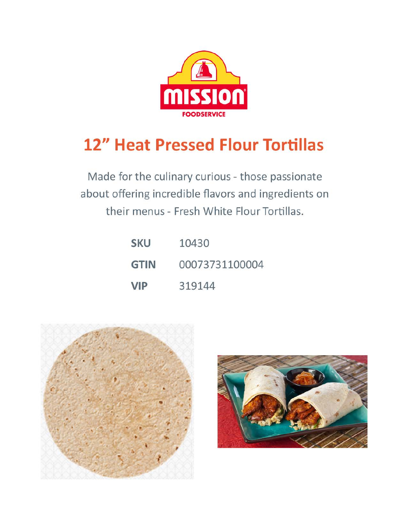

## **12" Heat Pressed Flour Tortillas**

Made for the culinary curious - those passionate about offering incredible flavors and ingredients on their menus - Fresh White Flour Tortillas.

| <b>SKU</b>  | 10430          |
|-------------|----------------|
| <b>GTIN</b> | 00073731100004 |
| <b>VIP</b>  | 319144         |